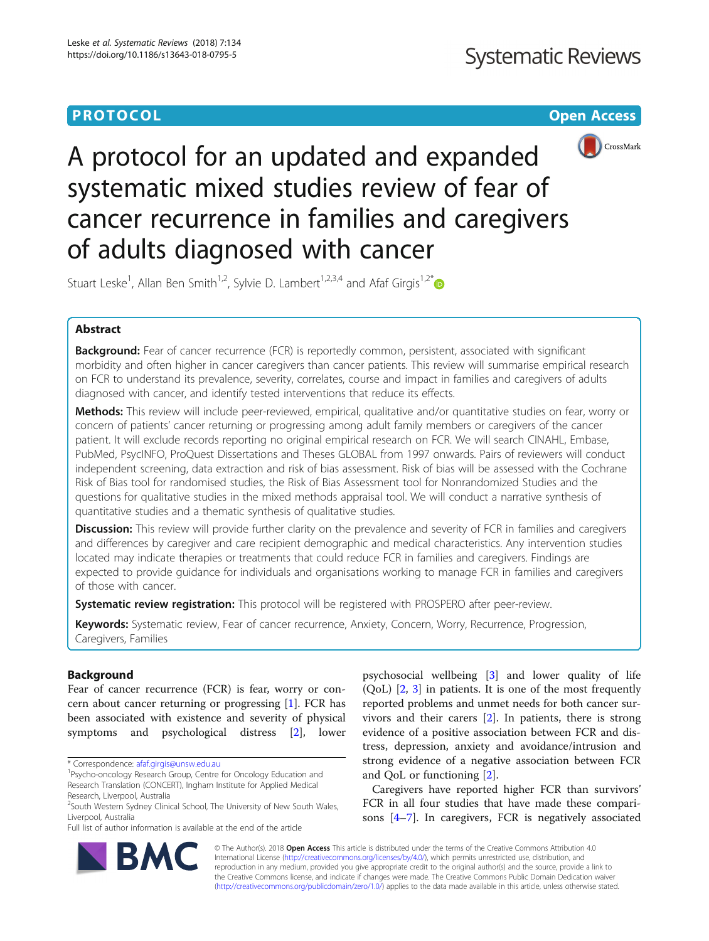# **PROTOCOL CONSUMING THE OPEN ACCESS**



A protocol for an updated and expanded systematic mixed studies review of fear of cancer recurrence in families and caregivers of adults diagnosed with cancer

Stuart Leske<sup>1</sup>, Allan Ben Smith<sup>1,2</sup>, Sylvie D. Lambert<sup>1,2,3,4</sup> and Afaf Girgis<sup>1,2\*</sup>

# Abstract

Background: Fear of cancer recurrence (FCR) is reportedly common, persistent, associated with significant morbidity and often higher in cancer caregivers than cancer patients. This review will summarise empirical research on FCR to understand its prevalence, severity, correlates, course and impact in families and caregivers of adults diagnosed with cancer, and identify tested interventions that reduce its effects.

Methods: This review will include peer-reviewed, empirical, qualitative and/or quantitative studies on fear, worry or concern of patients' cancer returning or progressing among adult family members or caregivers of the cancer patient. It will exclude records reporting no original empirical research on FCR. We will search CINAHL, Embase, PubMed, PsycINFO, ProQuest Dissertations and Theses GLOBAL from 1997 onwards. Pairs of reviewers will conduct independent screening, data extraction and risk of bias assessment. Risk of bias will be assessed with the Cochrane Risk of Bias tool for randomised studies, the Risk of Bias Assessment tool for Nonrandomized Studies and the questions for qualitative studies in the mixed methods appraisal tool. We will conduct a narrative synthesis of quantitative studies and a thematic synthesis of qualitative studies.

**Discussion:** This review will provide further clarity on the prevalence and severity of FCR in families and caregivers and differences by caregiver and care recipient demographic and medical characteristics. Any intervention studies located may indicate therapies or treatments that could reduce FCR in families and caregivers. Findings are expected to provide guidance for individuals and organisations working to manage FCR in families and caregivers of those with cancer.

**Systematic review registration:** This protocol will be registered with PROSPERO after peer-review.

Keywords: Systematic review, Fear of cancer recurrence, Anxiety, Concern, Worry, Recurrence, Progression, Caregivers, Families

# Background

Fear of cancer recurrence (FCR) is fear, worry or concern about cancer returning or progressing [\[1](#page-10-0)]. FCR has been associated with existence and severity of physical symptoms and psychological distress [[2](#page-10-0)], lower

Full list of author information is available at the end of the article



Caregivers have reported higher FCR than survivors' FCR in all four studies that have made these comparisons [[4](#page-10-0)–[7\]](#page-10-0). In caregivers, FCR is negatively associated



© The Author(s). 2018 Open Access This article is distributed under the terms of the Creative Commons Attribution 4.0 International License [\(http://creativecommons.org/licenses/by/4.0/](http://creativecommons.org/licenses/by/4.0/)), which permits unrestricted use, distribution, and reproduction in any medium, provided you give appropriate credit to the original author(s) and the source, provide a link to the Creative Commons license, and indicate if changes were made. The Creative Commons Public Domain Dedication waiver [\(http://creativecommons.org/publicdomain/zero/1.0/](http://creativecommons.org/publicdomain/zero/1.0/)) applies to the data made available in this article, unless otherwise stated.

<sup>\*</sup> Correspondence: [afaf.girgis@unsw.edu.au](mailto:afaf.girgis@unsw.edu.au) <sup>1</sup>

<sup>&</sup>lt;sup>1</sup>Psycho-oncology Research Group, Centre for Oncology Education and Research Translation (CONCERT), Ingham Institute for Applied Medical Research, Liverpool, Australia

<sup>&</sup>lt;sup>2</sup>South Western Sydney Clinical School, The University of New South Wales, Liverpool, Australia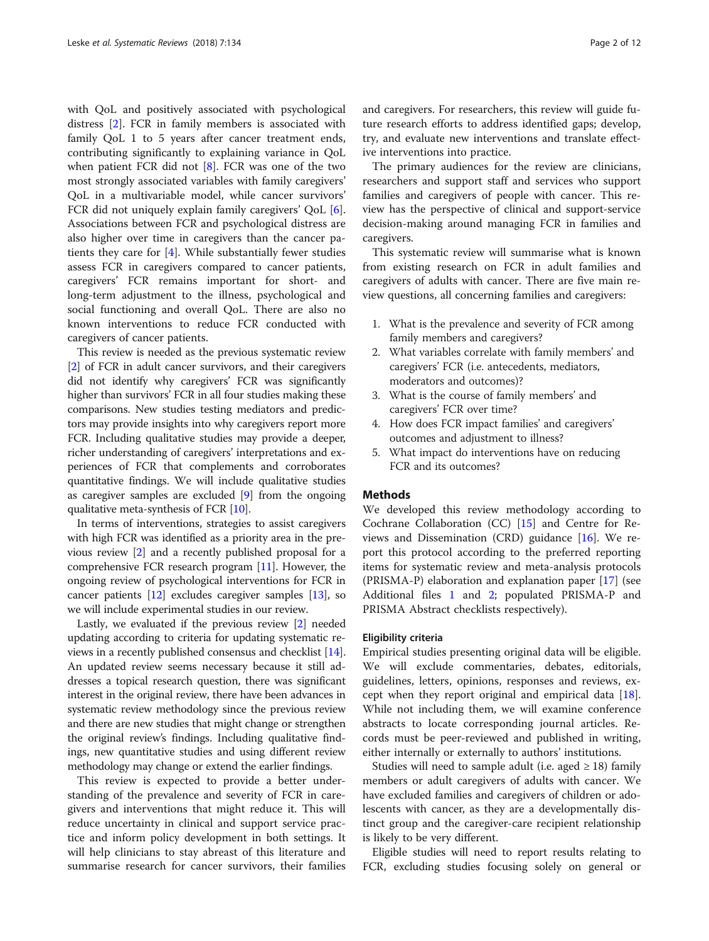with QoL and positively associated with psychological distress [[2\]](#page-10-0). FCR in family members is associated with family QoL 1 to 5 years after cancer treatment ends, contributing significantly to explaining variance in QoL when patient FCR did not [[8\]](#page-10-0). FCR was one of the two most strongly associated variables with family caregivers' QoL in a multivariable model, while cancer survivors' FCR did not uniquely explain family caregivers' QoL [\[6](#page-10-0)]. Associations between FCR and psychological distress are also higher over time in caregivers than the cancer patients they care for [\[4](#page-10-0)]. While substantially fewer studies assess FCR in caregivers compared to cancer patients, caregivers' FCR remains important for short- and long-term adjustment to the illness, psychological and social functioning and overall QoL. There are also no known interventions to reduce FCR conducted with caregivers of cancer patients.

This review is needed as the previous systematic review [[2\]](#page-10-0) of FCR in adult cancer survivors, and their caregivers did not identify why caregivers' FCR was significantly higher than survivors' FCR in all four studies making these comparisons. New studies testing mediators and predictors may provide insights into why caregivers report more FCR. Including qualitative studies may provide a deeper, richer understanding of caregivers' interpretations and experiences of FCR that complements and corroborates quantitative findings. We will include qualitative studies as caregiver samples are excluded [\[9\]](#page-10-0) from the ongoing qualitative meta-synthesis of FCR [\[10\]](#page-10-0).

In terms of interventions, strategies to assist caregivers with high FCR was identified as a priority area in the previous review [[2](#page-10-0)] and a recently published proposal for a comprehensive FCR research program [[11\]](#page-10-0). However, the ongoing review of psychological interventions for FCR in cancer patients [[12](#page-10-0)] excludes caregiver samples [\[13\]](#page-10-0), so we will include experimental studies in our review.

Lastly, we evaluated if the previous review [[2\]](#page-10-0) needed updating according to criteria for updating systematic reviews in a recently published consensus and checklist [[14](#page-10-0)]. An updated review seems necessary because it still addresses a topical research question, there was significant interest in the original review, there have been advances in systematic review methodology since the previous review and there are new studies that might change or strengthen the original review's findings. Including qualitative findings, new quantitative studies and using different review methodology may change or extend the earlier findings.

This review is expected to provide a better understanding of the prevalence and severity of FCR in caregivers and interventions that might reduce it. This will reduce uncertainty in clinical and support service practice and inform policy development in both settings. It will help clinicians to stay abreast of this literature and summarise research for cancer survivors, their families

and caregivers. For researchers, this review will guide future research efforts to address identified gaps; develop, try, and evaluate new interventions and translate effective interventions into practice.

The primary audiences for the review are clinicians, researchers and support staff and services who support families and caregivers of people with cancer. This review has the perspective of clinical and support-service decision-making around managing FCR in families and caregivers.

This systematic review will summarise what is known from existing research on FCR in adult families and caregivers of adults with cancer. There are five main review questions, all concerning families and caregivers:

- 1. What is the prevalence and severity of FCR among family members and caregivers?
- 2. What variables correlate with family members' and caregivers' FCR (i.e. antecedents, mediators, moderators and outcomes)?
- 3. What is the course of family members' and caregivers' FCR over time?
- 4. How does FCR impact families' and caregivers' outcomes and adjustment to illness?
- 5. What impact do interventions have on reducing FCR and its outcomes?

### Methods

We developed this review methodology according to Cochrane Collaboration (CC) [[15](#page-10-0)] and Centre for Reviews and Dissemination (CRD) guidance [[16](#page-10-0)]. We report this protocol according to the preferred reporting items for systematic review and meta-analysis protocols (PRISMA-P) elaboration and explanation paper [[17](#page-10-0)] (see Additional files [1](#page-9-0) and [2;](#page-9-0) populated PRISMA-P and PRISMA Abstract checklists respectively).

## Eligibility criteria

Empirical studies presenting original data will be eligible. We will exclude commentaries, debates, editorials, guidelines, letters, opinions, responses and reviews, except when they report original and empirical data [\[18](#page-10-0)]. While not including them, we will examine conference abstracts to locate corresponding journal articles. Records must be peer-reviewed and published in writing, either internally or externally to authors' institutions.

Studies will need to sample adult (i.e. aged  $\geq$  18) family members or adult caregivers of adults with cancer. We have excluded families and caregivers of children or adolescents with cancer, as they are a developmentally distinct group and the caregiver-care recipient relationship is likely to be very different.

Eligible studies will need to report results relating to FCR, excluding studies focusing solely on general or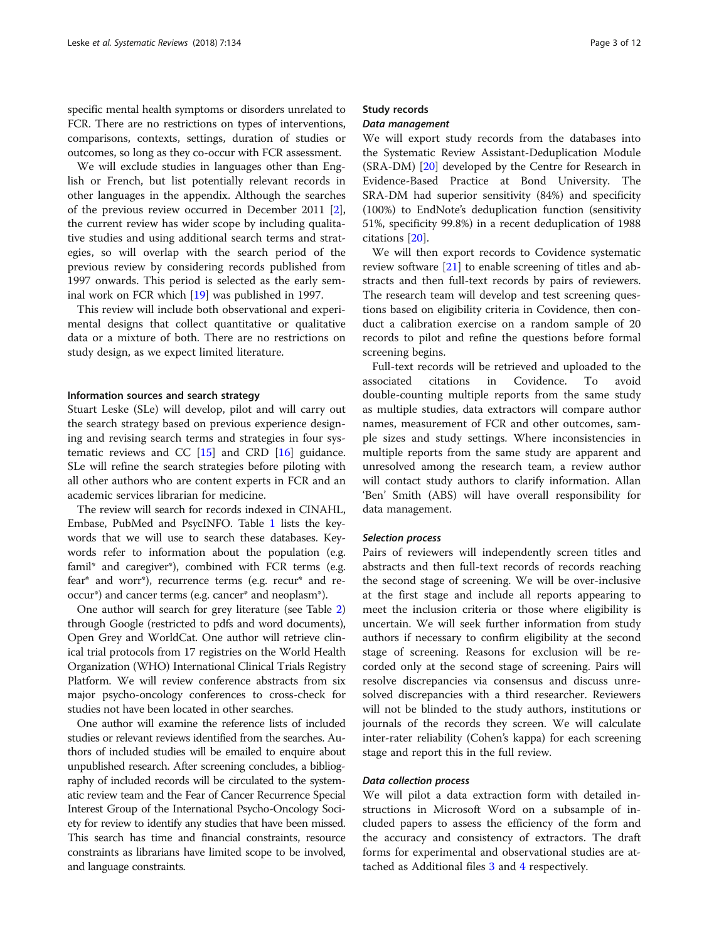specific mental health symptoms or disorders unrelated to FCR. There are no restrictions on types of interventions, comparisons, contexts, settings, duration of studies or outcomes, so long as they co-occur with FCR assessment.

We will exclude studies in languages other than English or French, but list potentially relevant records in other languages in the appendix. Although the searches of the previous review occurred in December 2011 [\[2](#page-10-0)], the current review has wider scope by including qualitative studies and using additional search terms and strategies, so will overlap with the search period of the previous review by considering records published from 1997 onwards. This period is selected as the early seminal work on FCR which [[19\]](#page-10-0) was published in 1997.

This review will include both observational and experimental designs that collect quantitative or qualitative data or a mixture of both. There are no restrictions on study design, as we expect limited literature.

#### Information sources and search strategy

Stuart Leske (SLe) will develop, pilot and will carry out the search strategy based on previous experience designing and revising search terms and strategies in four systematic reviews and CC [\[15](#page-10-0)] and CRD [\[16\]](#page-10-0) guidance. SLe will refine the search strategies before piloting with all other authors who are content experts in FCR and an academic services librarian for medicine.

The review will search for records indexed in CINAHL, Embase, PubMed and PsycINFO. Table [1](#page-3-0) lists the keywords that we will use to search these databases. Keywords refer to information about the population (e.g. famil<sup>\*</sup> and caregiver<sup>\*</sup>), combined with FCR terms (e.g. fear\* and worr\*), recurrence terms (e.g. recur\* and reoccur\*) and cancer terms (e.g. cancer\* and neoplasm\*).

One author will search for grey literature (see Table [2](#page-5-0)) through Google (restricted to pdfs and word documents), Open Grey and WorldCat. One author will retrieve clinical trial protocols from 17 registries on the World Health Organization (WHO) International Clinical Trials Registry Platform. We will review conference abstracts from six major psycho-oncology conferences to cross-check for studies not have been located in other searches.

One author will examine the reference lists of included studies or relevant reviews identified from the searches. Authors of included studies will be emailed to enquire about unpublished research. After screening concludes, a bibliography of included records will be circulated to the systematic review team and the Fear of Cancer Recurrence Special Interest Group of the International Psycho-Oncology Society for review to identify any studies that have been missed. This search has time and financial constraints, resource constraints as librarians have limited scope to be involved, and language constraints.

# Study records

We will export study records from the databases into the Systematic Review Assistant-Deduplication Module (SRA-DM) [[20](#page-10-0)] developed by the Centre for Research in Evidence-Based Practice at Bond University. The SRA-DM had superior sensitivity (84%) and specificity (100%) to EndNote's deduplication function (sensitivity 51%, specificity 99.8%) in a recent deduplication of 1988 citations [\[20](#page-10-0)].

We will then export records to Covidence systematic review software [[21\]](#page-10-0) to enable screening of titles and abstracts and then full-text records by pairs of reviewers. The research team will develop and test screening questions based on eligibility criteria in Covidence, then conduct a calibration exercise on a random sample of 20 records to pilot and refine the questions before formal screening begins.

Full-text records will be retrieved and uploaded to the associated citations in Covidence. To avoid double-counting multiple reports from the same study as multiple studies, data extractors will compare author names, measurement of FCR and other outcomes, sample sizes and study settings. Where inconsistencies in multiple reports from the same study are apparent and unresolved among the research team, a review author will contact study authors to clarify information. Allan 'Ben' Smith (ABS) will have overall responsibility for data management.

Pairs of reviewers will independently screen titles and abstracts and then full-text records of records reaching the second stage of screening. We will be over-inclusive at the first stage and include all reports appearing to meet the inclusion criteria or those where eligibility is uncertain. We will seek further information from study authors if necessary to confirm eligibility at the second stage of screening. Reasons for exclusion will be recorded only at the second stage of screening. Pairs will resolve discrepancies via consensus and discuss unresolved discrepancies with a third researcher. Reviewers will not be blinded to the study authors, institutions or journals of the records they screen. We will calculate inter-rater reliability (Cohen's kappa) for each screening stage and report this in the full review.

We will pilot a data extraction form with detailed instructions in Microsoft Word on a subsample of included papers to assess the efficiency of the form and the accuracy and consistency of extractors. The draft forms for experimental and observational studies are attached as Additional files [3](#page-9-0) and [4](#page-9-0) respectively.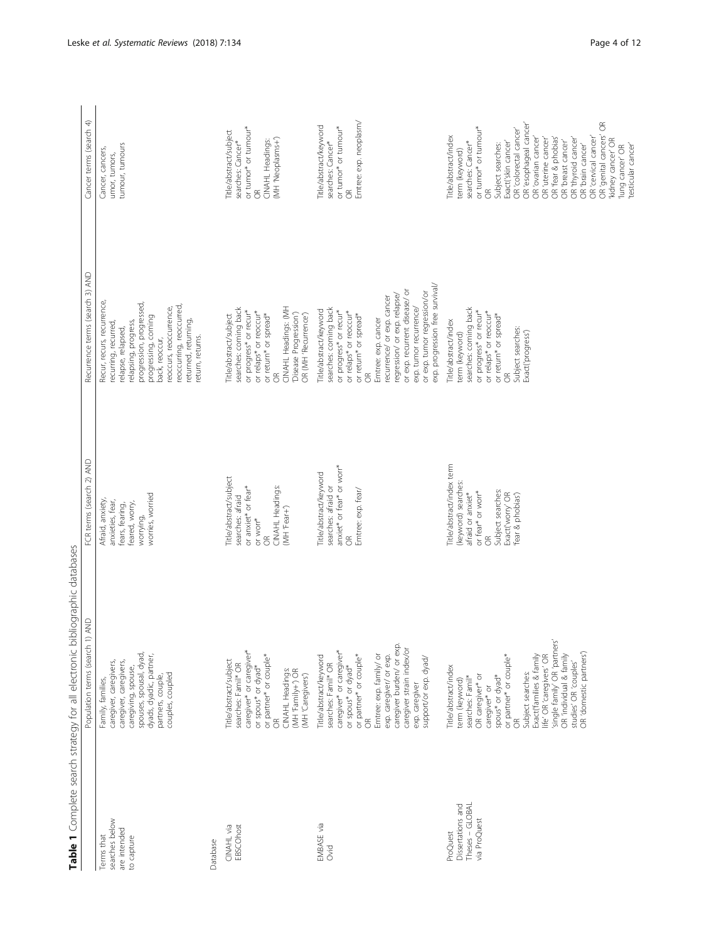<span id="page-3-0"></span>

|                                                                  | Table 1 Complete search strategy for all electronic bibliographic databases<br>1) AND<br>Population terms (search                                                                                                                                                                                                                                     | FCR terms (search 2) AND                                                                                                                                     | Recurrence terms (search 3) AND                                                                                                                                                                                                                                                                                                                     | Cancer terms (search 4)                                                                                                                                                                                                                                                                                                                                                                                                                                                  |
|------------------------------------------------------------------|-------------------------------------------------------------------------------------------------------------------------------------------------------------------------------------------------------------------------------------------------------------------------------------------------------------------------------------------------------|--------------------------------------------------------------------------------------------------------------------------------------------------------------|-----------------------------------------------------------------------------------------------------------------------------------------------------------------------------------------------------------------------------------------------------------------------------------------------------------------------------------------------------|--------------------------------------------------------------------------------------------------------------------------------------------------------------------------------------------------------------------------------------------------------------------------------------------------------------------------------------------------------------------------------------------------------------------------------------------------------------------------|
| searches below<br>are intended<br>Terms that<br>to capture       | spouses, spousal, dyad,<br>dyads, dyadic, partner,<br>caregiver, caregivers,<br>caregiver, caregivers,<br>caregiving, spouse,<br>couples, coupled<br>partners, couple,<br>Family, families,                                                                                                                                                           | worries, worried<br>Afraid, anxiety,<br>anxieties, fear,<br>feared, worry,<br>fears, fearing,<br>worrying,                                                   | Recur, recurs, recurrence<br>progression, progressed,<br>reoccurring, reoccurred,<br>reoccurs, reoccurrence,<br>progressing, coming<br>returned, returning,<br>relapsing, progress,<br>recurring, recurred,<br>relapse, relapsed,<br>return, returns.<br>back, reoccur,                                                                             | tumour, tumours<br>Cancer, cancers,<br>umor, tumors,                                                                                                                                                                                                                                                                                                                                                                                                                     |
| CINAHL via<br><b>EBSCOhost</b><br>Database                       | caregiver* or caregiver*<br>or partner* or couple*<br>Title/abstract/subject<br>searches: Famil* OR<br>or spous* or dyad*<br>CINAHL Headings:<br>(MH 'Family+') OR<br>(MH 'Caregivers')<br>ă                                                                                                                                                          | Title/abstract/subject<br>or anxiet* or fear*<br>CINAHL Headings:<br>searches: afraid<br>(MH 'Fear+')<br>or worr*<br>E                                       | CINAHL Headings: (MH<br>searches: coming back<br>or progress* or recur*<br>or relaps* or reoccur*<br>Disease Progression <sup>)</sup><br>OR (MH 'Recurrence')<br>or return* or spread*<br>Title/abstract/subject<br>g                                                                                                                               | or tumor <sup>*</sup> or tumour <sup>*</sup><br>Title/abstract/subject<br>(MH 'Neoplasms+')<br>CINAHL Headings:<br>searches: Cancer*<br>$\widetilde{\mathcal{E}}$                                                                                                                                                                                                                                                                                                        |
| EMBASE via<br>Ovid                                               | caregiver burden/ or exp.<br>caregiver strain index/or<br>caregiver* or caregiver*<br>Emtree: exp. family/ or<br>exp. caregiver/ or exp.<br>Title/abstract/keyword<br>or partner* or couple*<br>support/or exp. dyad/<br>searches: Famil* OR<br>or spous* or dyad*<br>exp. caregiver<br>g                                                             | anxiet* or fear* or worr*<br>Title/abstract/keyword<br>searches: afraid or<br>Emtree: exp. fear/<br>g                                                        | exp. progression free survival/<br>or exp. recurrent disease/ or<br>or exp. tumor regression/or<br>regression/ or exp. relapse/<br>recurrence/ or exp. cancer<br>exp. tumor recurrence/<br>searches: coming back<br>Title/abstract/keyword<br>or progress* or recur*<br>or relaps* or reoccur*<br>or return* or spread*<br>Emtree: exp. cancer<br>g | Emtree: exp. neoplasm/<br>Title/abstract/keyword<br>or tumor <sup>*</sup> or tumour <sup>*</sup><br>searches: Cancer*<br>$\widetilde{\sigma}$                                                                                                                                                                                                                                                                                                                            |
| Theses - GLOBAL<br>Dissertations and<br>via ProQuest<br>ProQuest | 'single family' OR 'partners'<br>studies' OR 'couples'<br>OR 'domestic partners')<br>OR 'individual & family<br>Exact('families & family<br>life' OR 'caregivers' OR<br>or partner* or couple*<br>Title/abstract/index<br>Subject searches:<br>OR caregiver* or<br>spous* or dyad*<br>searches: Famil*<br>term (keyword)<br>caregiver* or<br>$\infty$ | Title/abstract/index term<br>(keyword) searches:<br>Subject searches:<br>or fear* or worr*<br>afraid or anxiet*<br>Exact('worry' OR<br>fear & phobias')<br>g | searches: coming back<br>or progress* or recur*<br>or relaps* or reoccur*<br>or return* or spread*<br>Title/abstract/index<br>Subject searches:<br>Exact('progress')<br>term (keyword)<br>g                                                                                                                                                         | OR 'genital cancers' OR<br>OR 'esophageal cancer'<br>or tumor <sup>*</sup> or tumour <sup>*</sup><br>OR 'colorectal cancer'<br>OR 'cervical cancer'<br>Title/abstract/index<br>OR 'fear & phobias'<br>OR 'breast cancer'<br>OR 'brain cancer'<br>OR 'brain cancer'<br>'kidney cancer' OR<br>OR 'ovarian cancer'<br>OR 'uterine cancer'<br>Exact('skin cancer'<br>searches: Cancer*<br>'testicular cancer'<br>Subject searches:<br>lung cancer' OR<br>term (keyword)<br>g |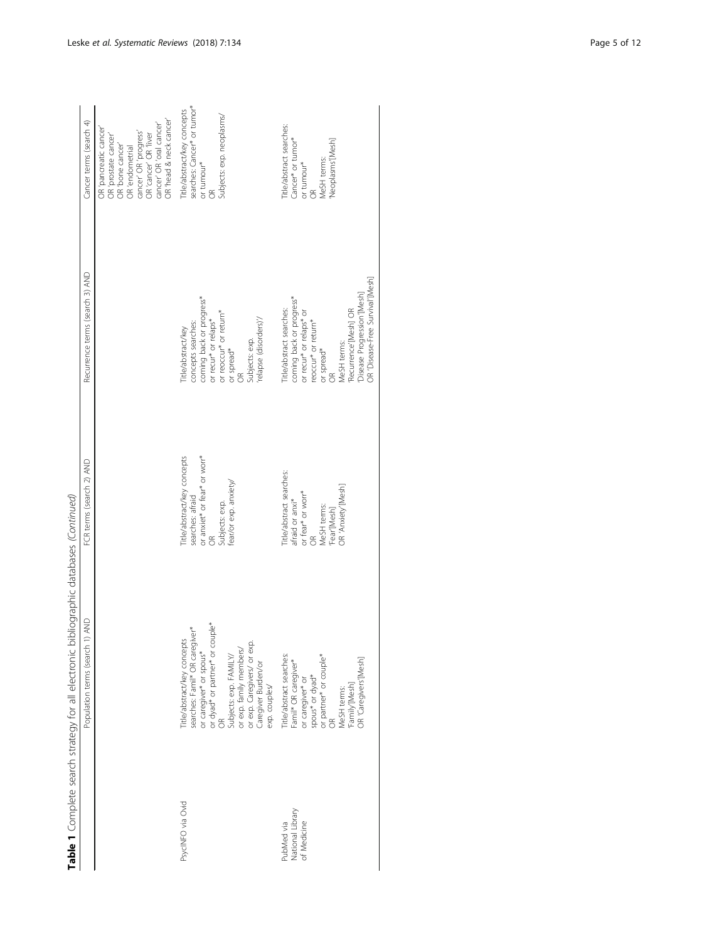|                                               | <b>AND</b><br>Population terms (search 1)                                                                                                                                                                                                               | FCR terms (search 2) AND                                                                                                                          | Recurrence terms (search 3) AND                                                                                                                                                                                                                                                            | Cancer terms (search 4)                                                                                                                                                                       |
|-----------------------------------------------|---------------------------------------------------------------------------------------------------------------------------------------------------------------------------------------------------------------------------------------------------------|---------------------------------------------------------------------------------------------------------------------------------------------------|--------------------------------------------------------------------------------------------------------------------------------------------------------------------------------------------------------------------------------------------------------------------------------------------|-----------------------------------------------------------------------------------------------------------------------------------------------------------------------------------------------|
|                                               |                                                                                                                                                                                                                                                         |                                                                                                                                                   |                                                                                                                                                                                                                                                                                            | OR 'head & neck cancer'<br>cancer' OR 'oral cancer'<br>OR 'pancreatic cancer<br>cancer' OR 'progress'<br>OR 'cancer' OR 'liver<br>OR 'prostate cancer'<br>OR 'bone cancer'<br>OR 'endometrial |
| PsycINFO via Ovid                             | or caregiver* or spous*<br>or dyad* or partner* or couple*<br>searches: Famil* OR caregiver*<br>Title/abstract/key concepts<br>or exp. Caregivers/ or exp.<br>Caregiver Burden/or<br>or exp. family members/<br>Subjects: exp. FAMILY/<br>exp. couples/ | or anxiet* or fear* or worr*<br>Title/abstract/key concepts<br>fear/or exp. anxiety<br>searches: afraid<br>Subjects: exp.<br>$\widetilde{\sigma}$ | coming back or progress*<br>or reoccur <sup>*</sup> or return*<br>or recur <sup>*</sup> or relaps <sup>*</sup><br>relapse (disorders)'/<br>concepts searches:<br>Title/abstract/key<br>Subjects: exp.<br>or spread*                                                                        | searches: Cancer* or tumor*<br>Title/abstract/key concepts<br>Subjects: exp. neoplasms/<br>or tumour*                                                                                         |
| National Library<br>PubMed via<br>of Medicine | or partner* or couple*<br>Title/abstract searches:<br>OR 'Caregivers'[Mesh]<br>Famil* OR caregiver*<br>spous* or dyad*<br>or caregiver* or<br>Family <sup>[Mesh]</sup><br>MeSH terms:                                                                   | Title/abstract searches:<br>OR 'Anxiety' [Mesh]<br>or fear* or worr*<br>afraid or anxi*<br>MeSH terms:<br>'Fear'[Mesh]<br>$\frac{1}{\sqrt{2}}$    | OR 'Disease-Free Survival'[Mesh]<br>Disease Progression'[Mesh]<br>coming back or progress*<br>Title/abstract searches:<br>Recurrence <sup>r</sup> [Mesh] OR<br>or recur <sup>*</sup> or relaps* or<br>reoccur <sup>*</sup> or return <sup>*</sup><br>MeSH terms:<br>or spread*<br>$\delta$ | Title/abstract searches:<br>Cancer <sup>*</sup> or tumor <sup>*</sup><br>Neoplasms'[Mesh]<br>MeSH terms:<br>or tumour*<br>g                                                                   |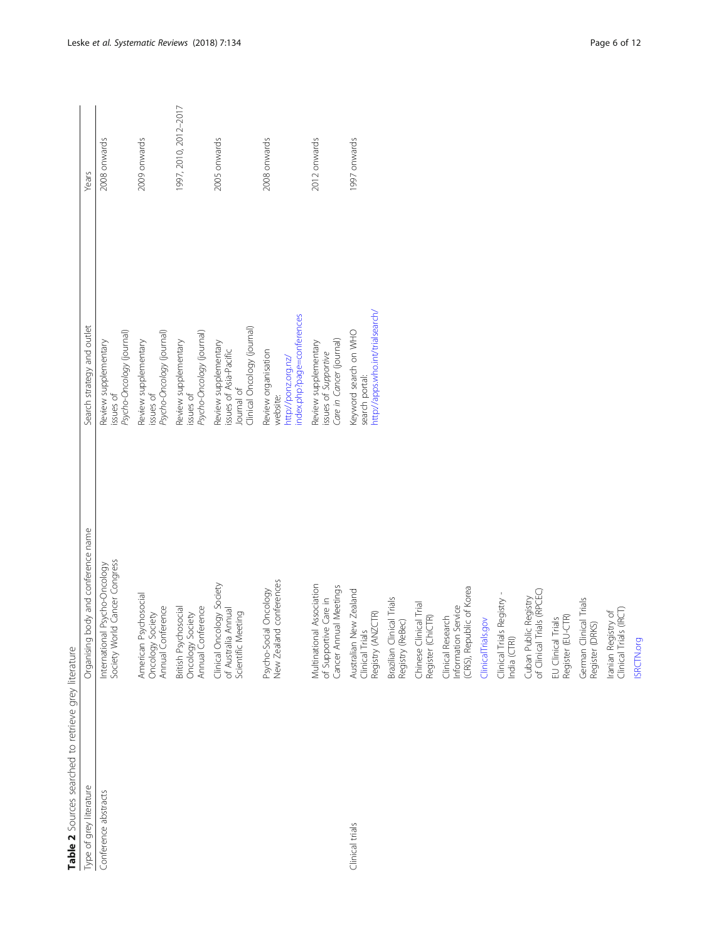<span id="page-5-0"></span>

| Table 2 Sources searched to retrieve grey literature<br>Type of grey literature | body and conference name<br>Organising                                       | Search strategy and outlet                                                                  | Years                 |
|---------------------------------------------------------------------------------|------------------------------------------------------------------------------|---------------------------------------------------------------------------------------------|-----------------------|
| Conference abstracts                                                            | Society World Cancer Congress<br>Psycho-Oncology<br>International            | Psycho-Oncology (journal)<br>Review supplementary<br>issues of                              | 2008 onwards          |
|                                                                                 | American Psychosocial<br>Annual Conference<br>Oncology Society               | Psycho-Oncology (journal)<br>Review supplementary<br>issues of                              | 2009 onwards          |
|                                                                                 | Oncology Society<br>Annual Conference<br>British Psychosocial                | Psycho-Oncology (journal)<br>Review supplementary<br>issues of                              | 1997, 2010, 2012-2017 |
|                                                                                 | Clinical Oncology Society<br>of Australia Annual<br>Scientific Meeting       | Clinical Oncology (journal)<br>Review supplementary<br>issues of Asia-Pacific<br>Journal of | 2005 onwards          |
|                                                                                 | Psycho-Social Oncology<br>New Zealand conferences                            | ndex.php?page=conferences<br>Review organisation<br>http://ponz.org.nz/<br>website:         | 2008 onwards          |
|                                                                                 | Multinational Association<br>Cancer Annual Meetings<br>of Supportive Care in | Care in Cancer (journal)<br>Review supplementary<br>issues of Supportive                    | 2012 onwards          |
| Clinical trials                                                                 | Australian New Zealand<br>Registry (ANZCTR)<br>Clinical Trials               | http://apps.who.int/trialsearch/<br>Keyword search on WHO<br>search portal:                 | 1997 onwards          |
|                                                                                 | Brazilian Clinical Trials<br>Registry (ReBec)                                |                                                                                             |                       |
|                                                                                 | Chinese Clinical Trial<br>Register (ChiCTR)                                  |                                                                                             |                       |
|                                                                                 | (CRIS), Republic of Korea<br>Clinical Research<br>Information Service        |                                                                                             |                       |
|                                                                                 | ClinicalTrials.gov                                                           |                                                                                             |                       |
|                                                                                 | Clinical Trials Registry -<br>India (CTRI)                                   |                                                                                             |                       |
|                                                                                 | Cuban Public Registry<br>of Clinical Trials (RPCEC)                          |                                                                                             |                       |
|                                                                                 | Register (EU-CTR)<br>EU Clinical Trials                                      |                                                                                             |                       |
|                                                                                 | German Clinical Trials<br>Register (DRKS)                                    |                                                                                             |                       |

Register (DRKS) Iranian Registry of Clinical Trials (IRCT) ISRCTN.org

Iranian Registry of<br>Clinical Trials (IRCT)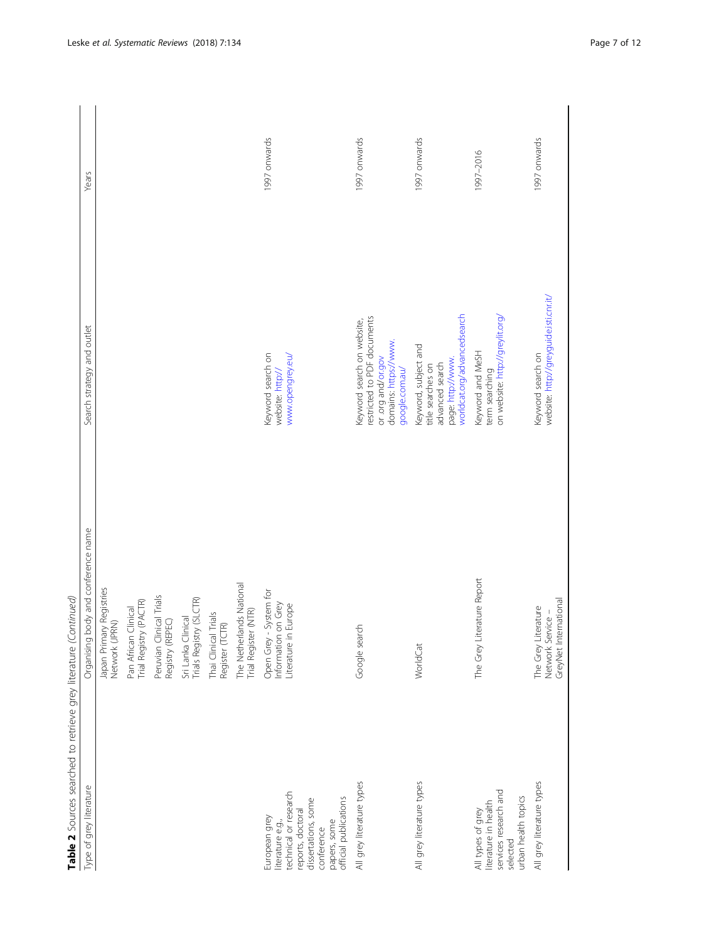| Table 2 Sources searched to retrieve grey literature (Continued)                                      |                                                                          |                                                                                                                            |              |
|-------------------------------------------------------------------------------------------------------|--------------------------------------------------------------------------|----------------------------------------------------------------------------------------------------------------------------|--------------|
| Type of grey literature                                                                               | Organising body and conference name                                      | Search strategy and outlet                                                                                                 | Years        |
|                                                                                                       | Japan Primary Registries<br>Network (JPRN)                               |                                                                                                                            |              |
|                                                                                                       | Pan African Clinical<br>Trial Registry (PACTR)                           |                                                                                                                            |              |
|                                                                                                       | Peruvian Clinical Trials<br>Registry (REPEC)                             |                                                                                                                            |              |
|                                                                                                       | Sri Lanka Clinical<br>Trials Registry (SLCTR)                            |                                                                                                                            |              |
|                                                                                                       | Thai Clinical Trials<br>Register (TCTR)                                  |                                                                                                                            |              |
|                                                                                                       | The Netherlands National<br>Trial Register (NTR)                         |                                                                                                                            |              |
| technical or research<br>dissertations, some<br>reports, doctoral<br>European grey<br>literature e.g. | Open Grey - System for<br>Information on Grey<br>Europe<br>Literature in | Keyword search on<br>www.opengrey.eu/<br>website: http://                                                                  | 1997 onwards |
| official publications<br>papers, some<br>conference                                                   |                                                                          |                                                                                                                            |              |
| All grey literature types                                                                             | Google search                                                            | restricted to PDF documents<br>Keyword search on website,<br>domains: https://www.<br>or .org and/or.gov<br>google.com.au/ | 1997 onwards |
| All grey literature types                                                                             | WorldCat                                                                 | worldcat.org/advancedsearch<br>Keyword, subject and<br>page: http://www.<br>title searches on<br>advanced search           | 1997 onwards |
| services research and<br>urban health topics<br>literature in health<br>All types of grey<br>selected | The Grey Literature Report                                               | on website: http://greylit.org/<br>Keyword and MeSH<br>term searching                                                      | 1997-2016    |
| All grey literature types                                                                             | GreyNet International<br>The Grey Literature<br>Network Service –        | website: http://greyguide.isti.cnr.it/<br>Keyword search on                                                                | 1997 onwards |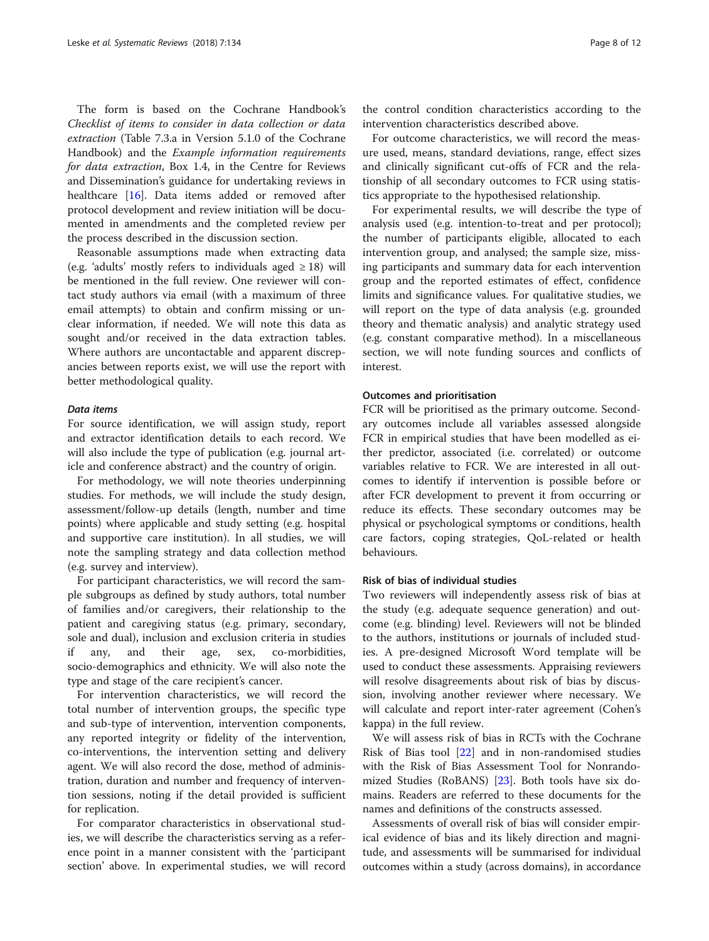The form is based on the Cochrane Handbook's Checklist of items to consider in data collection or data extraction (Table 7.3.a in Version 5.1.0 of the Cochrane Handbook) and the Example information requirements for data extraction, Box 1.4, in the Centre for Reviews and Dissemination's guidance for undertaking reviews in healthcare [\[16](#page-10-0)]. Data items added or removed after protocol development and review initiation will be documented in amendments and the completed review per the process described in the discussion section.

Reasonable assumptions made when extracting data (e.g. 'adults' mostly refers to individuals aged  $\geq$  18) will be mentioned in the full review. One reviewer will contact study authors via email (with a maximum of three email attempts) to obtain and confirm missing or unclear information, if needed. We will note this data as sought and/or received in the data extraction tables. Where authors are uncontactable and apparent discrepancies between reports exist, we will use the report with better methodological quality.

#### Data items

For source identification, we will assign study, report and extractor identification details to each record. We will also include the type of publication (e.g. journal article and conference abstract) and the country of origin.

For methodology, we will note theories underpinning studies. For methods, we will include the study design, assessment/follow-up details (length, number and time points) where applicable and study setting (e.g. hospital and supportive care institution). In all studies, we will note the sampling strategy and data collection method (e.g. survey and interview).

For participant characteristics, we will record the sample subgroups as defined by study authors, total number of families and/or caregivers, their relationship to the patient and caregiving status (e.g. primary, secondary, sole and dual), inclusion and exclusion criteria in studies if any, and their age, sex, co-morbidities, socio-demographics and ethnicity. We will also note the type and stage of the care recipient's cancer.

For intervention characteristics, we will record the total number of intervention groups, the specific type and sub-type of intervention, intervention components, any reported integrity or fidelity of the intervention, co-interventions, the intervention setting and delivery agent. We will also record the dose, method of administration, duration and number and frequency of intervention sessions, noting if the detail provided is sufficient for replication.

For comparator characteristics in observational studies, we will describe the characteristics serving as a reference point in a manner consistent with the 'participant section' above. In experimental studies, we will record

the control condition characteristics according to the intervention characteristics described above.

For outcome characteristics, we will record the measure used, means, standard deviations, range, effect sizes and clinically significant cut-offs of FCR and the relationship of all secondary outcomes to FCR using statistics appropriate to the hypothesised relationship.

For experimental results, we will describe the type of analysis used (e.g. intention-to-treat and per protocol); the number of participants eligible, allocated to each intervention group, and analysed; the sample size, missing participants and summary data for each intervention group and the reported estimates of effect, confidence limits and significance values. For qualitative studies, we will report on the type of data analysis (e.g. grounded theory and thematic analysis) and analytic strategy used (e.g. constant comparative method). In a miscellaneous section, we will note funding sources and conflicts of interest.

# Outcomes and prioritisation

FCR will be prioritised as the primary outcome. Secondary outcomes include all variables assessed alongside FCR in empirical studies that have been modelled as either predictor, associated (i.e. correlated) or outcome variables relative to FCR. We are interested in all outcomes to identify if intervention is possible before or after FCR development to prevent it from occurring or reduce its effects. These secondary outcomes may be physical or psychological symptoms or conditions, health care factors, coping strategies, QoL-related or health behaviours.

# Risk of bias of individual studies

Two reviewers will independently assess risk of bias at the study (e.g. adequate sequence generation) and outcome (e.g. blinding) level. Reviewers will not be blinded to the authors, institutions or journals of included studies. A pre-designed Microsoft Word template will be used to conduct these assessments. Appraising reviewers will resolve disagreements about risk of bias by discussion, involving another reviewer where necessary. We will calculate and report inter-rater agreement (Cohen's kappa) in the full review.

We will assess risk of bias in RCTs with the Cochrane Risk of Bias tool [\[22](#page-10-0)] and in non-randomised studies with the Risk of Bias Assessment Tool for Nonrandomized Studies (RoBANS) [\[23](#page-10-0)]. Both tools have six domains. Readers are referred to these documents for the names and definitions of the constructs assessed.

Assessments of overall risk of bias will consider empirical evidence of bias and its likely direction and magnitude, and assessments will be summarised for individual outcomes within a study (across domains), in accordance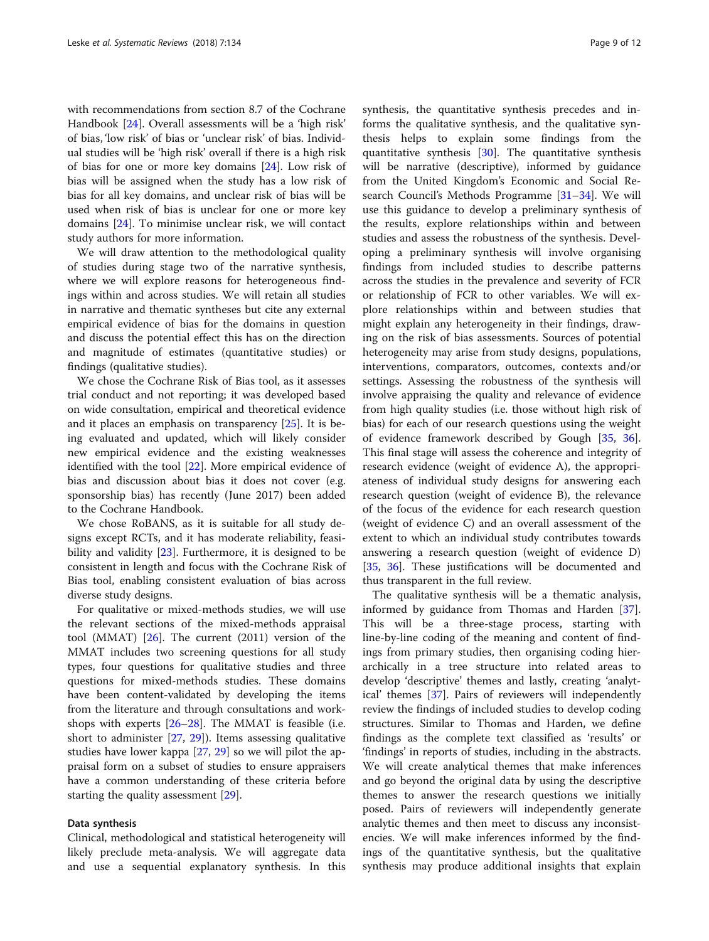with recommendations from section 8.7 of the Cochrane Handbook [\[24](#page-10-0)]. Overall assessments will be a 'high risk' of bias, 'low risk' of bias or 'unclear risk' of bias. Individual studies will be 'high risk' overall if there is a high risk of bias for one or more key domains [[24](#page-10-0)]. Low risk of bias will be assigned when the study has a low risk of bias for all key domains, and unclear risk of bias will be used when risk of bias is unclear for one or more key domains [\[24\]](#page-10-0). To minimise unclear risk, we will contact study authors for more information.

We will draw attention to the methodological quality of studies during stage two of the narrative synthesis, where we will explore reasons for heterogeneous findings within and across studies. We will retain all studies in narrative and thematic syntheses but cite any external empirical evidence of bias for the domains in question and discuss the potential effect this has on the direction and magnitude of estimates (quantitative studies) or findings (qualitative studies).

We chose the Cochrane Risk of Bias tool, as it assesses trial conduct and not reporting; it was developed based on wide consultation, empirical and theoretical evidence and it places an emphasis on transparency [\[25](#page-10-0)]. It is being evaluated and updated, which will likely consider new empirical evidence and the existing weaknesses identified with the tool [\[22](#page-10-0)]. More empirical evidence of bias and discussion about bias it does not cover (e.g. sponsorship bias) has recently (June 2017) been added to the Cochrane Handbook.

We chose RoBANS, as it is suitable for all study designs except RCTs, and it has moderate reliability, feasibility and validity [[23\]](#page-10-0). Furthermore, it is designed to be consistent in length and focus with the Cochrane Risk of Bias tool, enabling consistent evaluation of bias across diverse study designs.

For qualitative or mixed-methods studies, we will use the relevant sections of the mixed-methods appraisal tool (MMAT) [\[26](#page-10-0)]. The current (2011) version of the MMAT includes two screening questions for all study types, four questions for qualitative studies and three questions for mixed-methods studies. These domains have been content-validated by developing the items from the literature and through consultations and workshops with experts  $[26-28]$  $[26-28]$  $[26-28]$ . The MMAT is feasible (i.e. short to administer [[27,](#page-10-0) [29](#page-10-0)]). Items assessing qualitative studies have lower kappa [\[27](#page-10-0), [29](#page-10-0)] so we will pilot the appraisal form on a subset of studies to ensure appraisers have a common understanding of these criteria before starting the quality assessment [\[29](#page-10-0)].

### Data synthesis

Clinical, methodological and statistical heterogeneity will likely preclude meta-analysis. We will aggregate data and use a sequential explanatory synthesis. In this synthesis, the quantitative synthesis precedes and informs the qualitative synthesis, and the qualitative synthesis helps to explain some findings from the quantitative synthesis [[30](#page-10-0)]. The quantitative synthesis will be narrative (descriptive), informed by guidance from the United Kingdom's Economic and Social Research Council's Methods Programme [[31](#page-10-0)–[34](#page-10-0)]. We will use this guidance to develop a preliminary synthesis of the results, explore relationships within and between studies and assess the robustness of the synthesis. Developing a preliminary synthesis will involve organising findings from included studies to describe patterns across the studies in the prevalence and severity of FCR or relationship of FCR to other variables. We will explore relationships within and between studies that might explain any heterogeneity in their findings, drawing on the risk of bias assessments. Sources of potential heterogeneity may arise from study designs, populations, interventions, comparators, outcomes, contexts and/or settings. Assessing the robustness of the synthesis will involve appraising the quality and relevance of evidence from high quality studies (i.e. those without high risk of bias) for each of our research questions using the weight of evidence framework described by Gough [[35,](#page-11-0) [36](#page-11-0)]. This final stage will assess the coherence and integrity of research evidence (weight of evidence A), the appropriateness of individual study designs for answering each research question (weight of evidence B), the relevance of the focus of the evidence for each research question (weight of evidence C) and an overall assessment of the extent to which an individual study contributes towards answering a research question (weight of evidence D) [[35,](#page-11-0) [36](#page-11-0)]. These justifications will be documented and thus transparent in the full review.

The qualitative synthesis will be a thematic analysis, informed by guidance from Thomas and Harden [\[37](#page-11-0)]. This will be a three-stage process, starting with line-by-line coding of the meaning and content of findings from primary studies, then organising coding hierarchically in a tree structure into related areas to develop 'descriptive' themes and lastly, creating 'analytical' themes [\[37\]](#page-11-0). Pairs of reviewers will independently review the findings of included studies to develop coding structures. Similar to Thomas and Harden, we define findings as the complete text classified as 'results' or 'findings' in reports of studies, including in the abstracts. We will create analytical themes that make inferences and go beyond the original data by using the descriptive themes to answer the research questions we initially posed. Pairs of reviewers will independently generate analytic themes and then meet to discuss any inconsistencies. We will make inferences informed by the findings of the quantitative synthesis, but the qualitative synthesis may produce additional insights that explain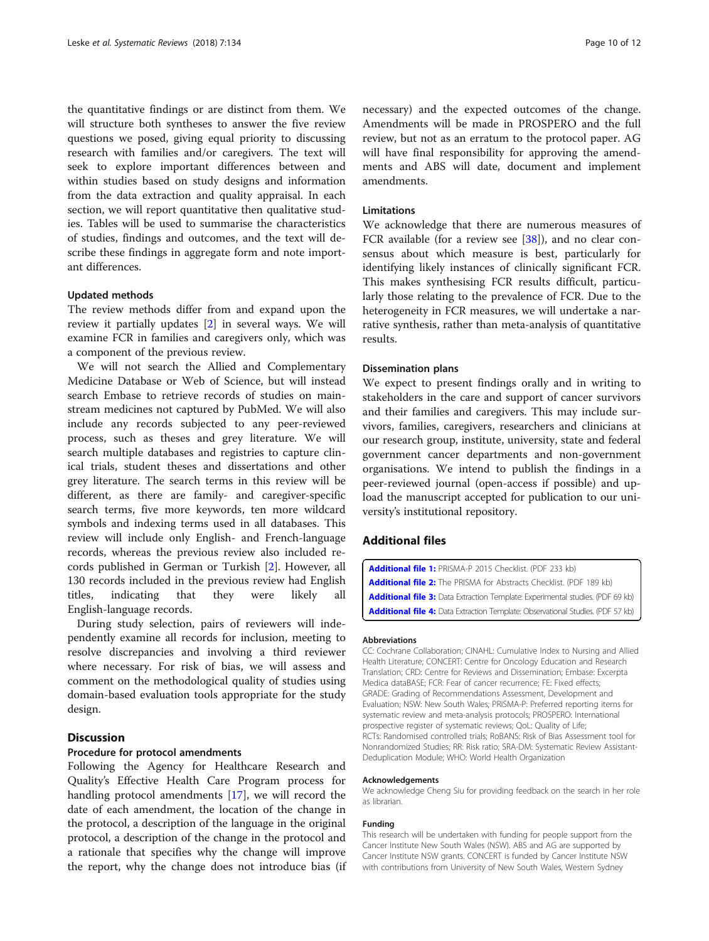<span id="page-9-0"></span>the quantitative findings or are distinct from them. We will structure both syntheses to answer the five review questions we posed, giving equal priority to discussing research with families and/or caregivers. The text will seek to explore important differences between and within studies based on study designs and information from the data extraction and quality appraisal. In each section, we will report quantitative then qualitative studies. Tables will be used to summarise the characteristics of studies, findings and outcomes, and the text will describe these findings in aggregate form and note important differences.

## Updated methods

The review methods differ from and expand upon the review it partially updates [\[2](#page-10-0)] in several ways. We will examine FCR in families and caregivers only, which was a component of the previous review.

We will not search the Allied and Complementary Medicine Database or Web of Science, but will instead search Embase to retrieve records of studies on mainstream medicines not captured by PubMed. We will also include any records subjected to any peer-reviewed process, such as theses and grey literature. We will search multiple databases and registries to capture clinical trials, student theses and dissertations and other grey literature. The search terms in this review will be different, as there are family- and caregiver-specific search terms, five more keywords, ten more wildcard symbols and indexing terms used in all databases. This review will include only English- and French-language records, whereas the previous review also included records published in German or Turkish [[2](#page-10-0)]. However, all 130 records included in the previous review had English titles, indicating that they were likely all English-language records.

During study selection, pairs of reviewers will independently examine all records for inclusion, meeting to resolve discrepancies and involving a third reviewer where necessary. For risk of bias, we will assess and comment on the methodological quality of studies using domain-based evaluation tools appropriate for the study design.

# **Discussion**

# Procedure for protocol amendments

Following the Agency for Healthcare Research and Quality's Effective Health Care Program process for handling protocol amendments [\[17](#page-10-0)], we will record the date of each amendment, the location of the change in the protocol, a description of the language in the original protocol, a description of the change in the protocol and a rationale that specifies why the change will improve the report, why the change does not introduce bias (if

necessary) and the expected outcomes of the change. Amendments will be made in PROSPERO and the full review, but not as an erratum to the protocol paper. AG will have final responsibility for approving the amendments and ABS will date, document and implement amendments.

# Limitations

We acknowledge that there are numerous measures of FCR available (for a review see [[38](#page-11-0)]), and no clear consensus about which measure is best, particularly for identifying likely instances of clinically significant FCR. This makes synthesising FCR results difficult, particularly those relating to the prevalence of FCR. Due to the heterogeneity in FCR measures, we will undertake a narrative synthesis, rather than meta-analysis of quantitative results.

#### Dissemination plans

We expect to present findings orally and in writing to stakeholders in the care and support of cancer survivors and their families and caregivers. This may include survivors, families, caregivers, researchers and clinicians at our research group, institute, university, state and federal government cancer departments and non-government organisations. We intend to publish the findings in a peer-reviewed journal (open-access if possible) and upload the manuscript accepted for publication to our university's institutional repository.

# Additional files

[Additional file 1:](https://doi.org/10.1186/s13643-018-0795-5) PRISMA-P 2015 Checklist. (PDF 233 kb) [Additional file 2:](https://doi.org/10.1186/s13643-018-0795-5) The PRISMA for Abstracts Checklist. (PDF 189 kb) [Additional file 3:](https://doi.org/10.1186/s13643-018-0795-5) Data Extraction Template: Experimental studies. (PDF 69 kb) [Additional file 4:](https://doi.org/10.1186/s13643-018-0795-5) Data Extraction Template: Observational Studies. (PDF 57 kb)

#### Abbreviations

CC: Cochrane Collaboration; CINAHL: Cumulative Index to Nursing and Allied Health Literature; CONCERT: Centre for Oncology Education and Research Translation; CRD: Centre for Reviews and Dissemination; Embase: Excerpta Medica dataBASE; FCR: Fear of cancer recurrence; FE: Fixed effects; GRADE: Grading of Recommendations Assessment, Development and Evaluation; NSW: New South Wales; PRISMA-P: Preferred reporting items for systematic review and meta-analysis protocols; PROSPERO: International prospective register of systematic reviews; QoL: Quality of Life; RCTs: Randomised controlled trials; RoBANS: Risk of Bias Assessment tool for Nonrandomized Studies; RR: Risk ratio; SRA-DM: Systematic Review Assistant-Deduplication Module; WHO: World Health Organization

#### Acknowledgements

We acknowledge Cheng Siu for providing feedback on the search in her role as librarian.

### Funding

This research will be undertaken with funding for people support from the Cancer Institute New South Wales (NSW). ABS and AG are supported by Cancer Institute NSW grants. CONCERT is funded by Cancer Institute NSW with contributions from University of New South Wales, Western Sydney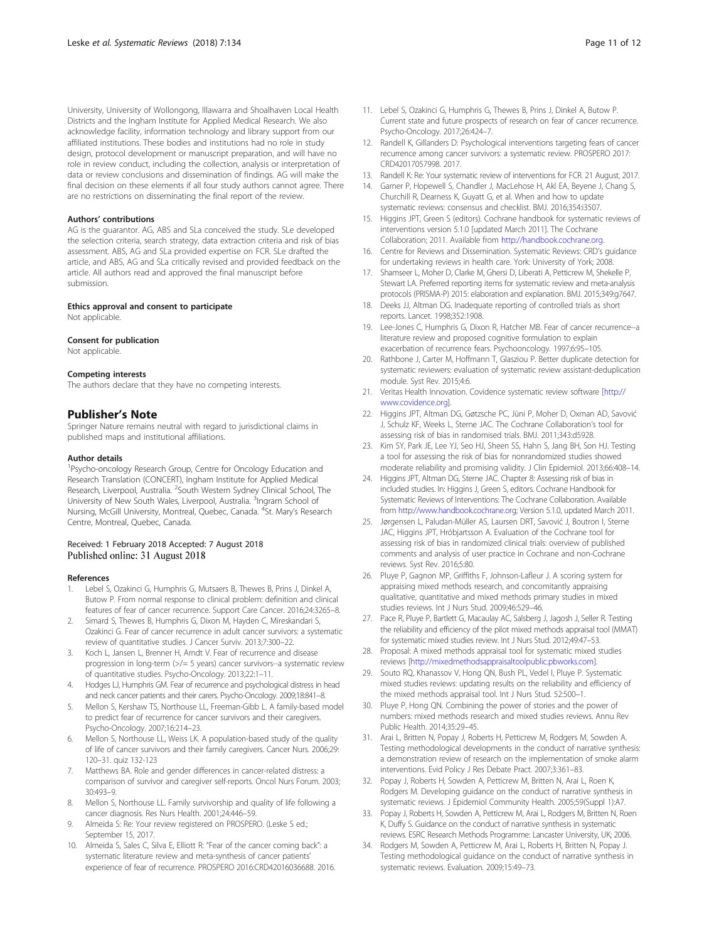<span id="page-10-0"></span>University, University of Wollongong, Illawarra and Shoalhaven Local Health Districts and the Ingham Institute for Applied Medical Research. We also acknowledge facility, information technology and library support from our affiliated institutions. These bodies and institutions had no role in study design, protocol development or manuscript preparation, and will have no role in review conduct, including the collection, analysis or interpretation of data or review conclusions and dissemination of findings. AG will make the final decision on these elements if all four study authors cannot agree. There are no restrictions on disseminating the final report of the review.

## Authors' contributions

AG is the guarantor. AG, ABS and SLa conceived the study. SLe developed the selection criteria, search strategy, data extraction criteria and risk of bias assessment. ABS, AG and SLa provided expertise on FCR. SLe drafted the article, and ABS, AG and SLa critically revised and provided feedback on the article. All authors read and approved the final manuscript before submission.

#### Ethics approval and consent to participate

Not applicable.

#### Consent for publication

Not applicable.

## Competing interests

The authors declare that they have no competing interests.

# Publisher's Note

Springer Nature remains neutral with regard to jurisdictional claims in published maps and institutional affiliations.

#### Author details

<sup>1</sup>Psycho-oncology Research Group, Centre for Oncology Education and Research Translation (CONCERT), Ingham Institute for Applied Medical Research, Liverpool, Australia. <sup>2</sup>South Western Sydney Clinical School, The University of New South Wales, Liverpool, Australia. <sup>3</sup>Ingram School of Nursing, McGill University, Montreal, Quebec, Canada. <sup>4</sup>St. Mary's Research Centre, Montreal, Quebec, Canada.

### Received: 1 February 2018 Accepted: 7 August 2018 Published online: 31 August 2018

#### References

- Lebel S, Ozakinci G, Humphris G, Mutsaers B, Thewes B, Prins J, Dinkel A, Butow P. From normal response to clinical problem: definition and clinical features of fear of cancer recurrence. Support Care Cancer. 2016;24:3265–8.
- Simard S, Thewes B, Humphris G, Dixon M, Hayden C, Mireskandari S, Ozakinci G. Fear of cancer recurrence in adult cancer survivors: a systematic review of quantitative studies. J Cancer Surviv. 2013;7:300–22.
- 3. Koch L, Jansen L, Brenner H, Arndt V. Fear of recurrence and disease progression in long-term (>/= 5 years) cancer survivors--a systematic review of quantitative studies. Psycho-Oncology. 2013;22:1–11.
- 4. Hodges LJ, Humphris GM. Fear of recurrence and psychological distress in head and neck cancer patients and their carers. Psycho-Oncology. 2009;18:841–8.
- 5. Mellon S, Kershaw TS, Northouse LL, Freeman-Gibb L. A family-based model to predict fear of recurrence for cancer survivors and their caregivers. Psycho-Oncology. 2007;16:214–23.
- Mellon S, Northouse LL, Weiss LK. A population-based study of the quality of life of cancer survivors and their family caregivers. Cancer Nurs. 2006;29: 120–31. quiz 132-123
- 7. Matthews BA. Role and gender differences in cancer-related distress: a comparison of survivor and caregiver self-reports. Oncol Nurs Forum. 2003; 30:493–9.
- 8. Mellon S, Northouse LL. Family survivorship and quality of life following a cancer diagnosis. Res Nurs Health. 2001;24:446–59.
- 9. Almeida S: Re: Your review registered on PROSPERO. (Leske S ed.; September 15, 2017.
- 10. Almeida S, Sales C, Silva E, Elliott R: "Fear of the cancer coming back": a systematic literature review and meta-synthesis of cancer patients' experience of fear of recurrence. PROSPERO 2016:CRD42016036688. 2016.
- 11. Lebel S, Ozakinci G, Humphris G, Thewes B, Prins J, Dinkel A, Butow P. Current state and future prospects of research on fear of cancer recurrence. Psycho-Oncology. 2017;26:424–7.
- 12. Randell K, Gillanders D: Psychological interventions targeting fears of cancer recurrence among cancer survivors: a systematic review. PROSPERO 2017: CRD42017057998. 2017.
- 13. Randell K: Re: Your systematic review of interventions for FCR. 21 August, 2017.
- 14. Garner P, Hopewell S, Chandler J, MacLehose H, Akl EA, Beyene J, Chang S, Churchill R, Dearness K, Guyatt G, et al. When and how to update systematic reviews: consensus and checklist. BMJ. 2016;354:i3507.
- 15. Higgins JPT, Green S (editors). Cochrane handbook for systematic reviews of interventions version 5.1.0 [updated March 2011]. The Cochrane Collaboration; 2011. Available from [http://handbook.cochrane.org.](http://handbook.cochrane.org)
- 16. Centre for Reviews and Dissemination. Systematic Reviews: CRD's guidance for undertaking reviews in health care. York: University of York; 2008.
- 17. Shamseer L, Moher D, Clarke M, Ghersi D, Liberati A, Petticrew M, Shekelle P, Stewart LA. Preferred reporting items for systematic review and meta-analysis protocols (PRISMA-P) 2015: elaboration and explanation. BMJ. 2015;349:g7647.
- 18. Deeks JJ, Altman DG. Inadequate reporting of controlled trials as short reports. Lancet. 1998;352:1908.
- 19. Lee-Jones C, Humphris G, Dixon R, Hatcher MB. Fear of cancer recurrence--a literature review and proposed cognitive formulation to explain exacerbation of recurrence fears. Psychooncology. 1997;6:95–105.
- 20. Rathbone J, Carter M, Hoffmann T, Glasziou P. Better duplicate detection for systematic reviewers: evaluation of systematic review assistant-deduplication module. Syst Rev. 2015;4:6.
- 21. Veritas Health Innovation. Covidence systematic review software [[http://](http://www.covidence.org) [www.covidence.org](http://www.covidence.org)].
- 22. Higgins JPT, Altman DG, Gøtzsche PC, Jüni P, Moher D, Oxman AD, Savović J, Schulz KF, Weeks L, Sterne JAC. The Cochrane Collaboration's tool for assessing risk of bias in randomised trials. BMJ. 2011;343:d5928.
- 23. Kim SY, Park JE, Lee YJ, Seo HJ, Sheen SS, Hahn S, Jang BH, Son HJ. Testing a tool for assessing the risk of bias for nonrandomized studies showed moderate reliability and promising validity. J Clin Epidemiol. 2013;66:408–14.
- 24. Higgins JPT, Altman DG, Sterne JAC. Chapter 8: Assessing risk of bias in included studies. In: Higgins J, Green S, editors. Cochrane Handbook for Systematic Reviews of Interventions: The Cochrane Collaboration. Available from [http://www.handbook.cochrane.org;](http://www.handbook.cochrane.org) Version 5.1.0, updated March 2011.
- 25. Jørgensen L, Paludan-Müller AS, Laursen DRT, Savović J, Boutron I, Sterne JAC, Higgins JPT, Hróbjartsson A. Evaluation of the Cochrane tool for assessing risk of bias in randomized clinical trials: overview of published comments and analysis of user practice in Cochrane and non-Cochrane reviews. Syst Rev. 2016;5:80.
- 26. Pluye P, Gagnon MP, Griffiths F, Johnson-Lafleur J. A scoring system for appraising mixed methods research, and concomitantly appraising qualitative, quantitative and mixed methods primary studies in mixed studies reviews. Int J Nurs Stud. 2009;46:529–46.
- 27. Pace R, Pluye P, Bartlett G, Macaulay AC, Salsberg J, Jagosh J, Seller R. Testing the reliability and efficiency of the pilot mixed methods appraisal tool (MMAT) for systematic mixed studies review. Int J Nurs Stud. 2012;49:47–53.
- 28. Proposal: A mixed methods appraisal tool for systematic mixed studies reviews [\[http://mixedmethodsappraisaltoolpublic.pbworks.com\]](http://mixedmethodsappraisaltoolpublic.pbworks.com).
- 29. Souto RQ, Khanassov V, Hong QN, Bush PL, Vedel I, Pluye P. Systematic mixed studies reviews: updating results on the reliability and efficiency of the mixed methods appraisal tool. Int J Nurs Stud. 52:500–1.
- 30. Pluye P, Hong QN. Combining the power of stories and the power of numbers: mixed methods research and mixed studies reviews. Annu Rev Public Health. 2014;35:29–45.
- 31. Arai L, Britten N, Popay J, Roberts H, Petticrew M, Rodgers M, Sowden A. Testing methodological developments in the conduct of narrative synthesis: a demonstration review of research on the implementation of smoke alarm interventions. Evid Policy J Res Debate Pract. 2007;3:361–83.
- 32. Popay J, Roberts H, Sowden A, Petticrew M, Britten N, Arai L, Roen K, Rodgers M. Developing guidance on the conduct of narrative synthesis in systematic reviews. J Epidemiol Community Health. 2005;59(Suppl 1):A7.
- 33. Popay J, Roberts H, Sowden A, Petticrew M, Arai L, Rodgers M, Britten N, Roen K, Duffy S. Guidance on the conduct of narrative synthesis in systematic reviews. ESRC Research Methods Programme: Lancaster University, UK; 2006.
- 34. Rodgers M, Sowden A, Petticrew M, Arai L, Roberts H, Britten N, Popay J. Testing methodological guidance on the conduct of narrative synthesis in systematic reviews. Evaluation. 2009;15:49–73.